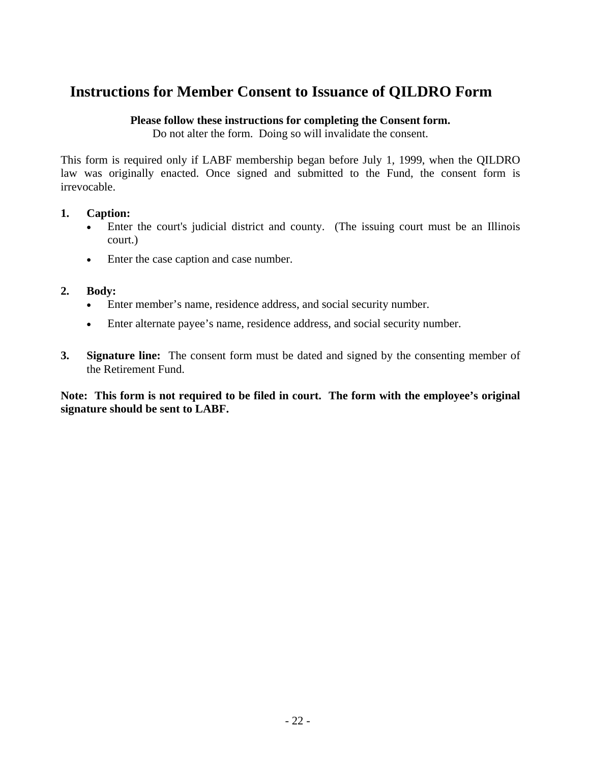# **Instructions for Member Consent to Issuance of QILDRO Form**

#### **Please follow these instructions for completing the Consent form.**

Do not alter the form. Doing so will invalidate the consent.

This form is required only if LABF membership began before July 1, 1999, when the QILDRO law was originally enacted. Once signed and submitted to the Fund, the consent form is irrevocable.

## **1. Caption:**

- Enter the court's judicial district and county. (The issuing court must be an Illinois court.)
- Enter the case caption and case number.

## **2. Body:**

- Enter member's name, residence address, and social security number.
- Enter alternate payee's name, residence address, and social security number.
- **3. Signature line:** The consent form must be dated and signed by the consenting member of the Retirement Fund.

**Note: This form is not required to be filed in court. The form with the employee's original signature should be sent to LABF.**